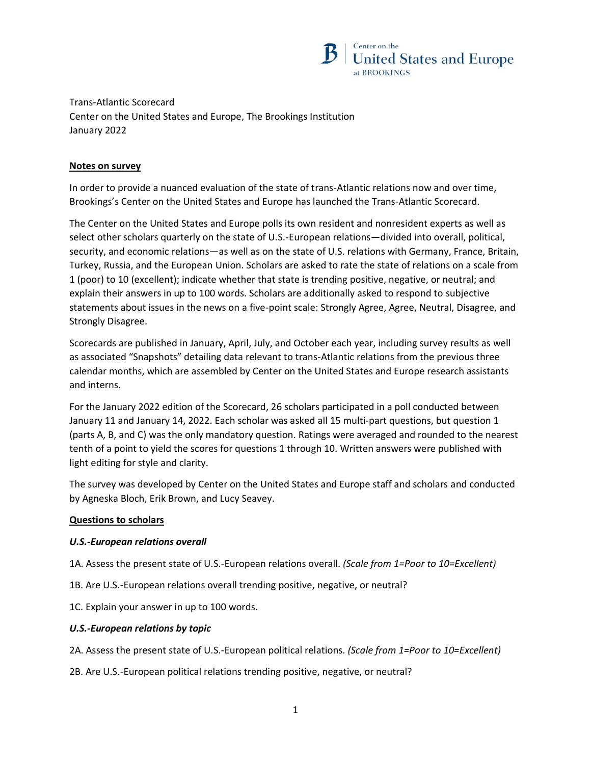

Trans-Atlantic Scorecard Center on the United States and Europe, The Brookings Institution January 2022

## **Notes on survey**

In order to provide a nuanced evaluation of the state of trans-Atlantic relations now and over time, Brookings's Center on the United States and Europe has launched the Trans-Atlantic Scorecard.

The Center on the United States and Europe polls its own resident and nonresident experts as well as select other scholars quarterly on the state of U.S.-European relations—divided into overall, political, security, and economic relations—as well as on the state of U.S. relations with Germany, France, Britain, Turkey, Russia, and the European Union. Scholars are asked to rate the state of relations on a scale from 1 (poor) to 10 (excellent); indicate whether that state is trending positive, negative, or neutral; and explain their answers in up to 100 words. Scholars are additionally asked to respond to subjective statements about issues in the news on a five-point scale: Strongly Agree, Agree, Neutral, Disagree, and Strongly Disagree.

Scorecards are published in January, April, July, and October each year, including survey results as well as associated "Snapshots" detailing data relevant to trans-Atlantic relations from the previous three calendar months, which are assembled by Center on the United States and Europe research assistants and interns.

For the January 2022 edition of the Scorecard, 26 scholars participated in a poll conducted between January 11 and January 14, 2022. Each scholar was asked all 15 multi-part questions, but question 1 (parts A, B, and C) was the only mandatory question. Ratings were averaged and rounded to the nearest tenth of a point to yield the scores for questions 1 through 10. Written answers were published with light editing for style and clarity.

The survey was developed by Center on the United States and Europe staff and scholars and conducted by Agneska Bloch, Erik Brown, and Lucy Seavey.

# **Questions to scholars**

#### *U.S.-European relations overall*

1A. Assess the present state of U.S.-European relations overall. *(Scale from 1=Poor to 10=Excellent)*

- 1B. Are U.S.-European relations overall trending positive, negative, or neutral?
- 1C. Explain your answer in up to 100 words.

#### *U.S.-European relations by topic*

- 2A. Assess the present state of U.S.-European political relations. *(Scale from 1=Poor to 10=Excellent)*
- 2B. Are U.S.-European political relations trending positive, negative, or neutral?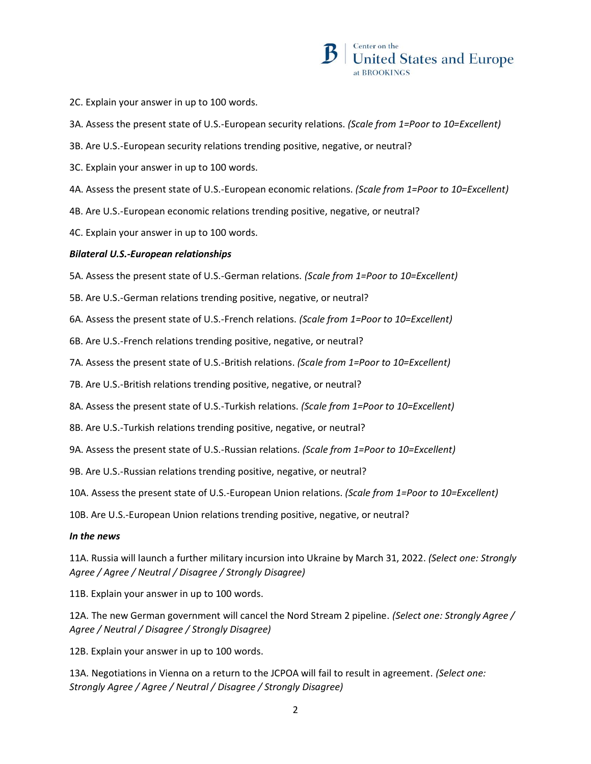

- 2C. Explain your answer in up to 100 words.
- 3A. Assess the present state of U.S.-European security relations. *(Scale from 1=Poor to 10=Excellent)*
- 3B. Are U.S.-European security relations trending positive, negative, or neutral?
- 3C. Explain your answer in up to 100 words.
- 4A. Assess the present state of U.S.-European economic relations. *(Scale from 1=Poor to 10=Excellent)*
- 4B. Are U.S.-European economic relations trending positive, negative, or neutral?
- 4C. Explain your answer in up to 100 words.

### *Bilateral U.S.-European relationships*

5A. Assess the present state of U.S.-German relations. *(Scale from 1=Poor to 10=Excellent)*

- 5B. Are U.S.-German relations trending positive, negative, or neutral?
- 6A. Assess the present state of U.S.-French relations. *(Scale from 1=Poor to 10=Excellent)*
- 6B. Are U.S.-French relations trending positive, negative, or neutral?
- 7A. Assess the present state of U.S.-British relations. *(Scale from 1=Poor to 10=Excellent)*
- 7B. Are U.S.-British relations trending positive, negative, or neutral?
- 8A. Assess the present state of U.S.-Turkish relations. *(Scale from 1=Poor to 10=Excellent)*
- 8B. Are U.S.-Turkish relations trending positive, negative, or neutral?
- 9A. Assess the present state of U.S.-Russian relations. *(Scale from 1=Poor to 10=Excellent)*
- 9B. Are U.S.-Russian relations trending positive, negative, or neutral?
- 10A. Assess the present state of U.S.-European Union relations. *(Scale from 1=Poor to 10=Excellent)*
- 10B. Are U.S.-European Union relations trending positive, negative, or neutral?

#### *In the news*

11A. Russia will launch a further military incursion into Ukraine by March 31, 2022. *(Select one: Strongly Agree / Agree / Neutral / Disagree / Strongly Disagree)*

11B. Explain your answer in up to 100 words.

12A. The new German government will cancel the Nord Stream 2 pipeline. *(Select one: Strongly Agree / Agree / Neutral / Disagree / Strongly Disagree)*

12B. Explain your answer in up to 100 words.

13A. Negotiations in Vienna on a return to the JCPOA will fail to result in agreement. *(Select one: Strongly Agree / Agree / Neutral / Disagree / Strongly Disagree)*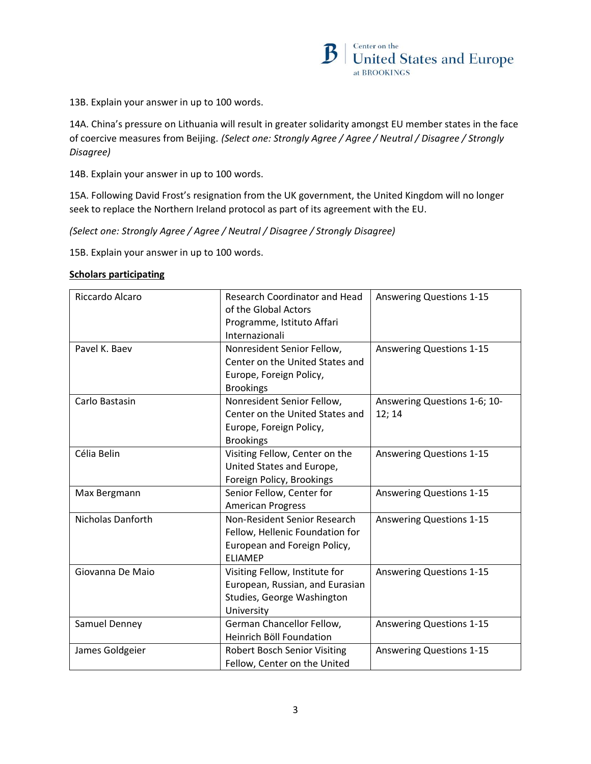

13B. Explain your answer in up to 100 words.

14A. China's pressure on Lithuania will result in greater solidarity amongst EU member states in the face of coercive measures from Beijing. *(Select one: Strongly Agree / Agree / Neutral / Disagree / Strongly Disagree)*

14B. Explain your answer in up to 100 words.

15A. Following David Frost's resignation from the UK government, the United Kingdom will no longer seek to replace the Northern Ireland protocol as part of its agreement with the EU.

*(Select one: Strongly Agree / Agree / Neutral / Disagree / Strongly Disagree)*

15B. Explain your answer in up to 100 words.

#### **Scholars participating**

| Riccardo Alcaro   | <b>Research Coordinator and Head</b><br>of the Global Actors<br>Programme, Istituto Affari<br>Internazionali      | <b>Answering Questions 1-15</b>        |
|-------------------|-------------------------------------------------------------------------------------------------------------------|----------------------------------------|
| Pavel K. Baev     | Nonresident Senior Fellow,<br>Center on the United States and<br>Europe, Foreign Policy,<br><b>Brookings</b>      | <b>Answering Questions 1-15</b>        |
| Carlo Bastasin    | Nonresident Senior Fellow,<br>Center on the United States and<br>Europe, Foreign Policy,<br><b>Brookings</b>      | Answering Questions 1-6; 10-<br>12; 14 |
| Célia Belin       | Visiting Fellow, Center on the<br>United States and Europe,<br>Foreign Policy, Brookings                          | <b>Answering Questions 1-15</b>        |
| Max Bergmann      | Senior Fellow, Center for<br><b>American Progress</b>                                                             | <b>Answering Questions 1-15</b>        |
| Nicholas Danforth | Non-Resident Senior Research<br>Fellow, Hellenic Foundation for<br>European and Foreign Policy,<br><b>FLIAMEP</b> | <b>Answering Questions 1-15</b>        |
| Giovanna De Maio  | Visiting Fellow, Institute for<br>European, Russian, and Eurasian<br>Studies, George Washington<br>University     | <b>Answering Questions 1-15</b>        |
| Samuel Denney     | German Chancellor Fellow,<br><b>Heinrich Böll Foundation</b>                                                      | <b>Answering Questions 1-15</b>        |
| James Goldgeier   | <b>Robert Bosch Senior Visiting</b><br>Fellow, Center on the United                                               | <b>Answering Questions 1-15</b>        |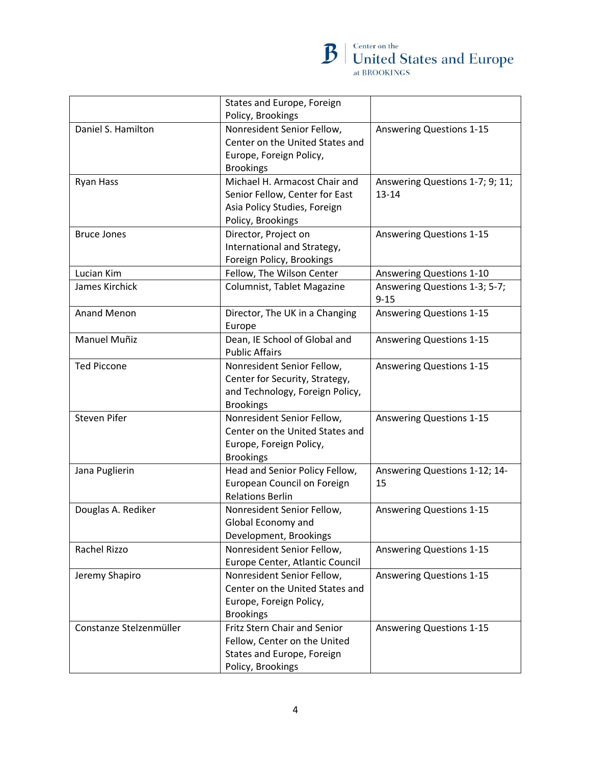

|                         | States and Europe, Foreign<br>Policy, Brookings                                                                        |                                              |
|-------------------------|------------------------------------------------------------------------------------------------------------------------|----------------------------------------------|
| Daniel S. Hamilton      | Nonresident Senior Fellow,<br>Center on the United States and<br>Europe, Foreign Policy,<br><b>Brookings</b>           | <b>Answering Questions 1-15</b>              |
| Ryan Hass               | Michael H. Armacost Chair and<br>Senior Fellow, Center for East<br>Asia Policy Studies, Foreign<br>Policy, Brookings   | Answering Questions 1-7; 9; 11;<br>$13 - 14$ |
| <b>Bruce Jones</b>      | Director, Project on<br>International and Strategy,<br>Foreign Policy, Brookings                                       | <b>Answering Questions 1-15</b>              |
| Lucian Kim              | Fellow, The Wilson Center                                                                                              | <b>Answering Questions 1-10</b>              |
| James Kirchick          | Columnist, Tablet Magazine                                                                                             | Answering Questions 1-3; 5-7;<br>$9 - 15$    |
| <b>Anand Menon</b>      | Director, The UK in a Changing<br>Europe                                                                               | <b>Answering Questions 1-15</b>              |
| <b>Manuel Muñiz</b>     | Dean, IE School of Global and<br><b>Public Affairs</b>                                                                 | <b>Answering Questions 1-15</b>              |
| <b>Ted Piccone</b>      | Nonresident Senior Fellow,<br>Center for Security, Strategy,<br>and Technology, Foreign Policy,<br><b>Brookings</b>    | <b>Answering Questions 1-15</b>              |
| <b>Steven Pifer</b>     | Nonresident Senior Fellow,<br>Center on the United States and<br>Europe, Foreign Policy,<br><b>Brookings</b>           | <b>Answering Questions 1-15</b>              |
| Jana Puglierin          | Head and Senior Policy Fellow,<br>European Council on Foreign<br><b>Relations Berlin</b>                               | Answering Questions 1-12; 14-<br>15          |
| Douglas A. Rediker      | Nonresident Senior Fellow,<br>Global Economy and<br>Development, Brookings                                             | <b>Answering Questions 1-15</b>              |
| Rachel Rizzo            | Nonresident Senior Fellow,<br>Europe Center, Atlantic Council                                                          | <b>Answering Questions 1-15</b>              |
| Jeremy Shapiro          | Nonresident Senior Fellow,<br>Center on the United States and<br>Europe, Foreign Policy,<br><b>Brookings</b>           | <b>Answering Questions 1-15</b>              |
| Constanze Stelzenmüller | <b>Fritz Stern Chair and Senior</b><br>Fellow, Center on the United<br>States and Europe, Foreign<br>Policy, Brookings | <b>Answering Questions 1-15</b>              |